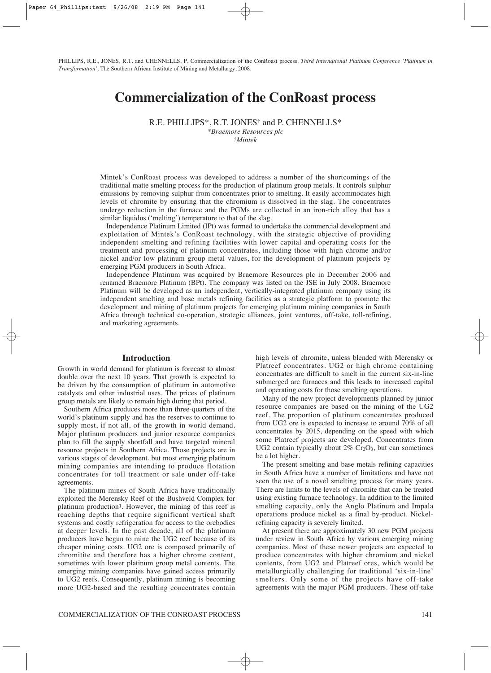PHILLIPS, R,E., JONES, R.T. and CHENNELLS, P. Commercialization of the ConRoast process. *Third International Platinum Conference 'Platinum in Transformation',* The Southern African Institute of Mining and Metallurgy, 2008.

# **Commercialization of the ConRoast process**

R.E. PHILLIPS\*, R.T. JONES† and P. CHENNELLS\* *\*Braemore Resources plc*

*†Mintek*

Mintek's ConRoast process was developed to address a number of the shortcomings of the traditional matte smelting process for the production of platinum group metals. It controls sulphur emissions by removing sulphur from concentrates prior to smelting. It easily accommodates high levels of chromite by ensuring that the chromium is dissolved in the slag. The concentrates undergo reduction in the furnace and the PGMs are collected in an iron-rich alloy that has a similar liquidus ('melting') temperature to that of the slag.

Independence Platinum Limited (IPt) was formed to undertake the commercial development and exploitation of Mintek's ConRoast technology, with the strategic objective of providing independent smelting and refining facilities with lower capital and operating costs for the treatment and processing of platinum concentrates, including those with high chrome and/or nickel and/or low platinum group metal values, for the development of platinum projects by emerging PGM producers in South Africa.

Independence Platinum was acquired by Braemore Resources plc in December 2006 and renamed Braemore Platinum (BPt). The company was listed on the JSE in July 2008. Braemore Platinum will be developed as an independent, vertically-integrated platinum company using its independent smelting and base metals refining facilities as a strategic platform to promote the development and mining of platinum projects for emerging platinum mining companies in South Africa through technical co-operation, strategic alliances, joint ventures, off-take, toll-refining, and marketing agreements.

#### **Introduction**

Growth in world demand for platinum is forecast to almost double over the next 10 years. That growth is expected to be driven by the consumption of platinum in automotive catalysts and other industrial uses. The prices of platinum group metals are likely to remain high during that period.

Southern Africa produces more than three-quarters of the world's platinum supply and has the reserves to continue to supply most, if not all, of the growth in world demand. Major platinum producers and junior resource companies plan to fill the supply shortfall and have targeted mineral resource projects in Southern Africa. Those projects are in various stages of development, but most emerging platinum mining companies are intending to produce flotation concentrates for toll treatment or sale under off-take agreements.

The platinum mines of South Africa have traditionally exploited the Merensky Reef of the Bushveld Complex for platinum production**1**. However, the mining of this reef is reaching depths that require significant vertical shaft systems and costly refrigeration for access to the orebodies at deeper levels. In the past decade, all of the platinum producers have begun to mine the UG2 reef because of its cheaper mining costs. UG2 ore is composed primarily of chromitite and therefore has a higher chrome content, sometimes with lower platinum group metal contents. The emerging mining companies have gained access primarily to UG2 reefs. Consequently, platinum mining is becoming more UG2-based and the resulting concentrates contain high levels of chromite, unless blended with Merensky or Platreef concentrates. UG2 or high chrome containing concentrates are difficult to smelt in the current six-in-line submerged arc furnaces and this leads to increased capital and operating costs for those smelting operations.

Many of the new project developments planned by junior resource companies are based on the mining of the UG2 reef. The proportion of platinum concentrates produced from UG2 ore is expected to increase to around 70% of all concentrates by 2015, depending on the speed with which some Platreef projects are developed. Concentrates from UG2 contain typically about  $2\%$  Cr<sub>2</sub>O<sub>3</sub>, but can sometimes be a lot higher.

The present smelting and base metals refining capacities in South Africa have a number of limitations and have not seen the use of a novel smelting process for many years. There are limits to the levels of chromite that can be treated using existing furnace technology. In addition to the limited smelting capacity, only the Anglo Platinum and Impala operations produce nickel as a final by-product. Nickelrefining capacity is severely limited.

At present there are approximately 30 new PGM projects under review in South Africa by various emerging mining companies. Most of these newer projects are expected to produce concentrates with higher chromium and nickel contents, from UG2 and Platreef ores, which would be metallurgically challenging for traditional 'six-in-line' smelters. Only some of the projects have off-take agreements with the major PGM producers. These off-take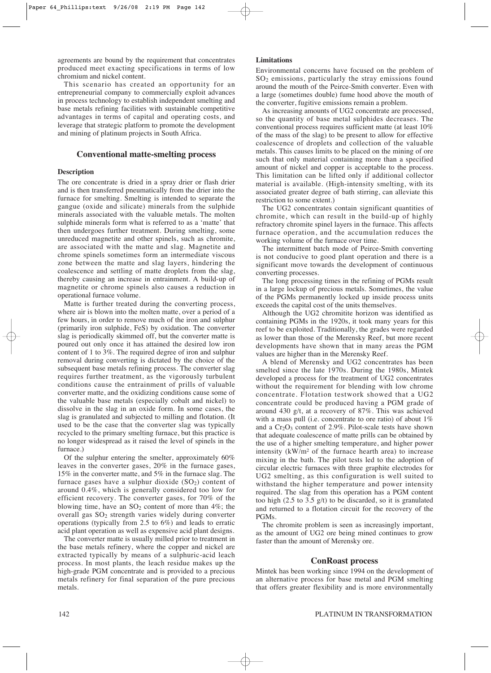agreements are bound by the requirement that concentrates produced meet exacting specifications in terms of low chromium and nickel content.

This scenario has created an opportunity for an entrepreneurial company to commercially exploit advances in process technology to establish independent smelting and base metals refining facilities with sustainable competitive advantages in terms of capital and operating costs, and leverage that strategic platform to promote the development and mining of platinum projects in South Africa.

### **Conventional matte-smelting process**

#### **Description**

The ore concentrate is dried in a spray drier or flash drier and is then transferred pneumatically from the drier into the furnace for smelting. Smelting is intended to separate the gangue (oxide and silicate) minerals from the sulphide minerals associated with the valuable metals. The molten sulphide minerals form what is referred to as a 'matte' that then undergoes further treatment. During smelting, some unreduced magnetite and other spinels, such as chromite, are associated with the matte and slag. Magnetite and chrome spinels sometimes form an intermediate viscous zone between the matte and slag layers, hindering the coalescence and settling of matte droplets from the slag, thereby causing an increase in entrainment. A build-up of magnetite or chrome spinels also causes a reduction in operational furnace volume.

Matte is further treated during the converting process, where air is blown into the molten matte, over a period of a few hours, in order to remove much of the iron and sulphur (primarily iron sulphide, FeS) by oxidation. The converter slag is periodically skimmed off, but the converter matte is poured out only once it has attained the desired low iron content of 1 to 3%. The required degree of iron and sulphur removal during converting is dictated by the choice of the subsequent base metals refining process. The converter slag requires further treatment, as the vigorously turbulent conditions cause the entrainment of prills of valuable converter matte, and the oxidizing conditions cause some of the valuable base metals (especially cobalt and nickel) to dissolve in the slag in an oxide form. In some cases, the slag is granulated and subjected to milling and flotation. (It used to be the case that the converter slag was typically recycled to the primary smelting furnace, but this practice is no longer widespread as it raised the level of spinels in the furnace.)

Of the sulphur entering the smelter, approximately 60% leaves in the converter gases, 20% in the furnace gases, 15% in the converter matte, and 5% in the furnace slag. The furnace gases have a sulphur dioxide  $(SO<sub>2</sub>)$  content of around 0.4%, which is generally considered too low for efficient recovery. The converter gases, for 70% of the blowing time, have an  $SO_2$  content of more than 4%; the overall gas SO<sub>2</sub> strength varies widely during converter operations (typically from 2.5 to 6%) and leads to erratic acid plant operation as well as expensive acid plant designs.

The converter matte is usually milled prior to treatment in the base metals refinery, where the copper and nickel are extracted typically by means of a sulphuric-acid leach process. In most plants, the leach residue makes up the high-grade PGM concentrate and is provided to a precious metals refinery for final separation of the pure precious metals.

#### **Limitations**

Environmental concerns have focused on the problem of SO2 emissions, particularly the stray emissions found around the mouth of the Peirce-Smith converter. Even with a large (sometimes double) fume hood above the mouth of the converter, fugitive emissions remain a problem.

As increasing amounts of UG2 concentrate are processed, so the quantity of base metal sulphides decreases. The conventional process requires sufficient matte (at least 10% of the mass of the slag) to be present to allow for effective coalescence of droplets and collection of the valuable metals. This causes limits to be placed on the mining of ore such that only material containing more than a specified amount of nickel and copper is acceptable to the process. This limitation can be lifted only if additional collector material is available. (High-intensity smelting, with its associated greater degree of bath stirring, can alleviate this restriction to some extent.)

The UG2 concentrates contain significant quantities of chromite, which can result in the build-up of highly refractory chromite spinel layers in the furnace. This affects furnace operation, and the accumulation reduces the working volume of the furnace over time.

The intermittent batch mode of Peirce-Smith converting is not conducive to good plant operation and there is a significant move towards the development of continuous converting processes.

The long processing times in the refining of PGMs result in a large lockup of precious metals. Sometimes, the value of the PGMs permanently locked up inside process units exceeds the capital cost of the units themselves.

Although the UG2 chromitite horizon was identified as containing PGMs in the 1920s, it took many years for this reef to be exploited. Traditionally, the grades were regarded as lower than those of the Merensky Reef, but more recent developments have shown that in many areas the PGM values are higher than in the Merensky Reef.

A blend of Merensky and UG2 concentrates has been smelted since the late 1970s. During the 1980s, Mintek developed a process for the treatment of UG2 concentrates without the requirement for blending with low chrome concentrate. Flotation testwork showed that a UG2 concentrate could be produced having a PGM grade of around 430 g/t, at a recovery of 87%. This was achieved with a mass pull (i.e. concentrate to ore ratio) of about  $1\%$ and a  $Cr_2O_3$  content of 2.9%. Pilot-scale tests have shown that adequate coalescence of matte prills can be obtained by the use of a higher smelting temperature, and higher power intensity (kW/m² of the furnace hearth area) to increase mixing in the bath. The pilot tests led to the adoption of circular electric furnaces with three graphite electrodes for UG2 smelting, as this configuration is well suited to withstand the higher temperature and power intensity required. The slag from this operation has a PGM content too high (2.5 to 3.5 g/t) to be discarded, so it is granulated and returned to a flotation circuit for the recovery of the PGMs.

The chromite problem is seen as increasingly important, as the amount of UG2 ore being mined continues to grow faster than the amount of Merensky ore.

#### **ConRoast process**

Mintek has been working since 1994 on the development of an alternative process for base metal and PGM smelting that offers greater flexibility and is more environmentally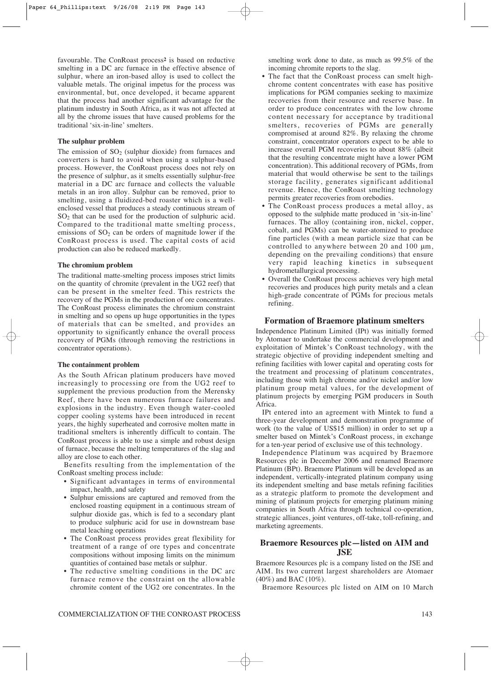favourable. The ConRoast process**<sup>2</sup>** is based on reductive smelting in a DC arc furnace in the effective absence of sulphur, where an iron-based alloy is used to collect the valuable metals. The original impetus for the process was environmental, but, once developed, it became apparent that the process had another significant advantage for the platinum industry in South Africa, as it was not affected at all by the chrome issues that have caused problems for the traditional 'six-in-line' smelters.

## **The sulphur problem**

The emission of  $SO<sub>2</sub>$  (sulphur dioxide) from furnaces and converters is hard to avoid when using a sulphur-based process. However, the ConRoast process does not rely on the presence of sulphur, as it smelts essentially sulphur-free material in a DC arc furnace and collects the valuable metals in an iron alloy. Sulphur can be removed, prior to smelting, using a fluidized-bed roaster which is a wellenclosed vessel that produces a steady continuous stream of SO2 that can be used for the production of sulphuric acid. Compared to the traditional matte smelting process, emissions of  $SO<sub>2</sub>$  can be orders of magnitude lower if the ConRoast process is used. The capital costs of acid production can also be reduced markedly.

#### **The chromium problem**

The traditional matte-smelting process imposes strict limits on the quantity of chromite (prevalent in the UG2 reef) that can be present in the smelter feed. This restricts the recovery of the PGMs in the production of ore concentrates. The ConRoast process eliminates the chromium constraint in smelting and so opens up huge opportunities in the types of materials that can be smelted, and provides an opportunity to significantly enhance the overall process recovery of PGMs (through removing the restrictions in concentrator operations).

#### **The containment problem**

As the South African platinum producers have moved increasingly to processing ore from the UG2 reef to supplement the previous production from the Merensky Reef, there have been numerous furnace failures and explosions in the industry. Even though water-cooled copper cooling systems have been introduced in recent years, the highly superheated and corrosive molten matte in traditional smelters is inherently difficult to contain. The ConRoast process is able to use a simple and robust design of furnace, because the melting temperatures of the slag and alloy are close to each other.

Benefits resulting from the implementation of the ConRoast smelting process include:

- Significant advantages in terms of environmental impact, health, and safety
- Sulphur emissions are captured and removed from the enclosed roasting equipment in a continuous stream of sulphur dioxide gas, which is fed to a secondary plant to produce sulphuric acid for use in downstream base metal leaching operations
- The ConRoast process provides great flexibility for treatment of a range of ore types and concentrate compositions without imposing limits on the minimum quantities of contained base metals or sulphur.
- The reductive smelting conditions in the DC arc furnace remove the constraint on the allowable chromite content of the UG2 ore concentrates. In the

smelting work done to date, as much as 99.5% of the incoming chromite reports to the slag.

- The fact that the ConRoast process can smelt highchrome content concentrates with ease has positive implications for PGM companies seeking to maximize recoveries from their resource and reserve base. In order to produce concentrates with the low chrome content necessary for acceptance by traditional smelters, recoveries of PGMs are generally compromised at around 82%. By relaxing the chrome constraint, concentrator operators expect to be able to increase overall PGM recoveries to about 88% (albeit that the resulting concentrate might have a lower PGM concentration). This additional recovery of PGMs, from material that would otherwise be sent to the tailings storage facility, generates significant additional revenue. Hence, the ConRoast smelting technology permits greater recoveries from orebodies.
- The ConRoast process produces a metal alloy, as opposed to the sulphide matte produced in 'six-in-line' furnaces. The alloy (containing iron, nickel, copper, cobalt, and PGMs) can be water-atomized to produce fine particles (with a mean particle size that can be controlled to anywhere between 20 and 100 μm, depending on the prevailing conditions) that ensure very rapid leaching kinetics in subsequent hydrometallurgical processing.
- Overall the ConRoast process achieves very high metal recoveries and produces high purity metals and a clean high-grade concentrate of PGMs for precious metals refining.

#### **Formation of Braemore platinum smelters**

Independence Platinum Limited (IPt) was initially formed by Atomaer to undertake the commercial development and exploitation of Mintek's ConRoast technology, with the strategic objective of providing independent smelting and refining facilities with lower capital and operating costs for the treatment and processing of platinum concentrates, including those with high chrome and/or nickel and/or low platinum group metal values, for the development of platinum projects by emerging PGM producers in South Africa.

IPt entered into an agreement with Mintek to fund a three-year development and demonstration programme of work (to the value of US\$15 million) in order to set up a smelter based on Mintek's ConRoast process, in exchange for a ten-year period of exclusive use of this technology.

Independence Platinum was acquired by Braemore Resources plc in December 2006 and renamed Braemore Platinum (BPt). Braemore Platinum will be developed as an independent, vertically-integrated platinum company using its independent smelting and base metals refining facilities as a strategic platform to promote the development and mining of platinum projects for emerging platinum mining companies in South Africa through technical co-operation, strategic alliances, joint ventures, off-take, toll-refining, and marketing agreements.

# **Braemore Resources plc—listed on AIM and JSE**

Braemore Resources plc is a company listed on the JSE and AIM. Its two current largest shareholders are Atomaer (40%) and BAC (10%).

Braemore Resources plc listed on AIM on 10 March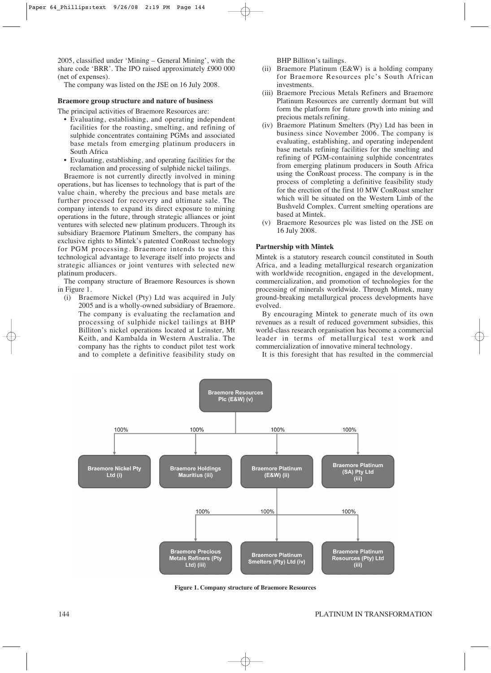2005, classified under 'Mining – General Mining', with the share code 'BRR'. The IPO raised approximately £900 000 (net of expenses).

The company was listed on the JSE on 16 July 2008.

#### **Braemore group structure and nature of business**

The principal activities of Braemore Resources are:

- Evaluating, establishing, and operating independent facilities for the roasting, smelting, and refining of sulphide concentrates containing PGMs and associated base metals from emerging platinum producers in South Africa
- Evaluating, establishing, and operating facilities for the reclamation and processing of sulphide nickel tailings.

Braemore is not currently directly involved in mining operations, but has licenses to technology that is part of the value chain, whereby the precious and base metals are further processed for recovery and ultimate sale. The company intends to expand its direct exposure to mining operations in the future, through strategic alliances or joint ventures with selected new platinum producers. Through its subsidiary Braemore Platinum Smelters, the company has exclusive rights to Mintek's patented ConRoast technology for PGM processing. Braemore intends to use this technological advantage to leverage itself into projects and strategic alliances or joint ventures with selected new platinum producers.

The company structure of Braemore Resources is shown in Figure 1.

(i) Braemore Nickel (Pty) Ltd was acquired in July 2005 and is a wholly-owned subsidiary of Braemore. The company is evaluating the reclamation and processing of sulphide nickel tailings at BHP Billiton's nickel operations located at Leinster, Mt Keith, and Kambalda in Western Australia. The company has the rights to conduct pilot test work and to complete a definitive feasibility study on BHP Billiton's tailings.

- (ii) Braemore Platinum (E&W) is a holding company for Braemore Resources plc's South African investments.
- (iii) Braemore Precious Metals Refiners and Braemore Platinum Resources are currently dormant but will form the platform for future growth into mining and precious metals refining.
- (iv) Braemore Platinum Smelters (Pty) Ltd has been in business since November 2006. The company is evaluating, establishing, and operating independent base metals refining facilities for the smelting and refining of PGM-containing sulphide concentrates from emerging platinum producers in South Africa using the ConRoast process. The company is in the process of completing a definitive feasibility study for the erection of the first 10 MW ConRoast smelter which will be situated on the Western Limb of the Bushveld Complex. Current smelting operations are based at Mintek.
- (v) Braemore Resources plc was listed on the JSE on 16 July 2008.

## **Partnership with Mintek**

Mintek is a statutory research council constituted in South Africa, and a leading metallurgical research organization with worldwide recognition, engaged in the development, commercialization, and promotion of technologies for the processing of minerals worldwide. Through Mintek, many ground-breaking metallurgical process developments have evolved.

By encouraging Mintek to generate much of its own revenues as a result of reduced government subsidies, this world-class research organisation has become a commercial leader in terms of metallurgical test work and commercialization of innovative mineral technology.

It is this foresight that has resulted in the commercial



**Figure 1. Company structure of Braemore Resources**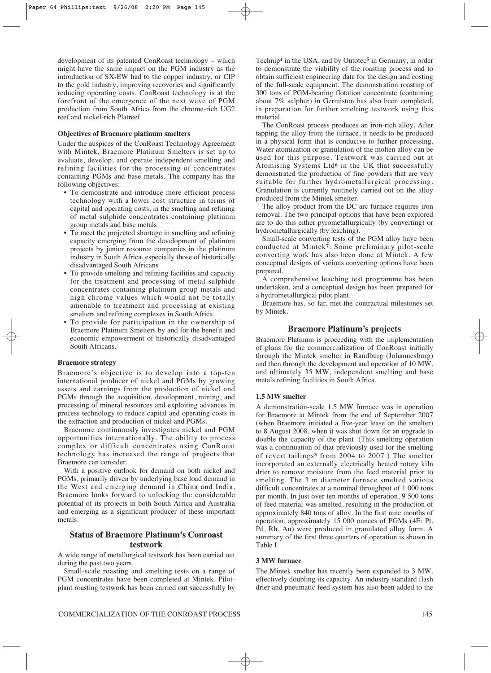development of its patented ConRoast technology – which might have the same impact on the PGM industry as the introduction of SX-EW had to the copper industry, or CIP to the gold industry, improving recoveries and significantly reducing operating costs. ConRoast technology is at the forefront of the emergence of the next wave of PGM production from South Africa from the chrome-rich UG2 reef and nickel-rich Platreef.

#### **Objectives of Braemore platinum smelters**

Under the auspices of the ConRoast Technology Agreement with Mintek, Braemore Platinum Smelters is set up to evaluate, develop, and operate independent smelting and refining facilities for the processing of concentrates containing PGMs and base metals. The company has the following objectives:

- To demonstrate and introduce more efficient process technology with a lower cost structure in terms of capital and operating costs, in the smelting and refining of metal sulphide concentrates containing platinum group metals and base metals
- To meet the projected shortage in smelting and refining capacity emerging from the development of platinum projects by junior resource companies in the platinum industry in South Africa, especially those of historically disadvantaged South Africans
- To provide smelting and refining facilities and capacity for the treatment and processing of metal sulphide concentrates containing platinum group metals and high chrome values which would not be totally amenable to treatment and processing at existing smelters and refining complexes in South Africa
- To provide for participation in the ownership of Braemore Platinum Smelters by and for the benefit and economic empowerment of historically disadvantaged South Africans.

#### **Braemore strategy**

Braemore's objective is to develop into a top-ten international producer of nickel and PGMs by growing assets and earnings from the production of nickel and PGMs through the acquisition, development, mining, and processing of mineral resources and exploiting advances in process technology to reduce capital and operating costs in the extraction and production of nickel and PGMs.

Braemore continuously investigates nickel and PGM opportunities internationally. The ability to process complex or difficult concentrates using ConRoast technology has increased the range of projects that Braemore can consider.

With a positive outlook for demand on both nickel and PGMs, primarily driven by underlying base load demand in the West and emerging demand in China and India, Braemore looks forward to unlocking the considerable potential of its projects in both South Africa and Australia and emerging as a significant producer of these important metals.

# **Status of Braemore Platinum's Conroast testwork**

A wide range of metallurgical testwork has been carried out during the past two years.

Small-scale roasting and smelting tests on a range of PGM concentrates have been completed at Mintek. Pilotplant roasting testwork has been carried out successfully by Technip**<sup>4</sup>** in the USA, and by Outotec**<sup>5</sup>** in Germany, in order to demonstrate the viability of the roasting process and to obtain sufficient engineering data for the design and costing of the full-scale equipment. The demonstration roasting of 300 tons of PGM-bearing flotation concentrate (containing about 7% sulphur) in Germiston has also been completed, in preparation for further smelting testwork using this material.

The ConRoast process produces an iron-rich alloy. After tapping the alloy from the furnace, it needs to be produced in a physical form that is conducive to further processing. Water atomization or granulation of the molten alloy can be used for this purpose. Testwork was carried out at Atomising Systems Ltd**<sup>6</sup>** in the UK that successfully demonstrated the production of fine powders that are very suitable for further hydrometallurgical processing. Granulation is currently routinely carried out on the alloy produced from the Mintek smelter.

The alloy product from the DC arc furnace requires iron removal. The two principal options that have been explored are to do this either pyrometallurgically (by converting) or hydrometallurgically (by leaching).

Small-scale converting tests of the PGM alloy have been conducted at Mintek**7**. Some preliminary pilot-scale converting work has also been done at Mintek. A few conceptual designs of various converting options have been prepared.

A comprehensive leaching test programme has been undertaken, and a conceptual design has been prepared for a hydrometallurgical pilot plant.

Braemore has, so far, met the contractual milestones set by Mintek.

#### **Braemore Platinum's projects**

Braemore Platinum is proceeding with the implementation of plans for the commercialization of ConRoast initially through the Mintek smelter in Randburg (Johannesburg) and then through the development and operation of 10 MW, and ultimately 35 MW, independent smelting and base metals refining facilities in South Africa.

## **1.5 MW smelter**

A demonstration-scale 1.5 MW furnace was in operation for Braemore at Mintek from the end of September 2007 (when Braemore initiated a five-year lease on the smelter) to 8 August 2008, when it was shut down for an upgrade to double the capacity of the plant. (This smelting operation was a continuation of that previously used for the smelting of revert tailings**<sup>3</sup>** from 2004 to 2007.) The smelter incorporated an externally electrically heated rotary kiln drier to remove moisture from the feed material prior to smelting. The 3 m diameter furnace smelted various difficult concentrates at a nominal throughput of 1 000 tons per month. In just over ten months of operation, 9 500 tons of feed material was smelted, resulting in the production of approximately 840 tons of alloy. In the first nine months of operation, approximately 15 000 ounces of PGMs (4E: Pt, Pd, Rh, Au) were produced in granulated alloy form. A summary of the first three quarters of operation is shown in Table I.

#### **3 MW furnace**

The Mintek smelter has recently been expanded to 3 MW, effectively doubling its capacity. An industry-standard flash drier and pneumatic feed system has also been added to the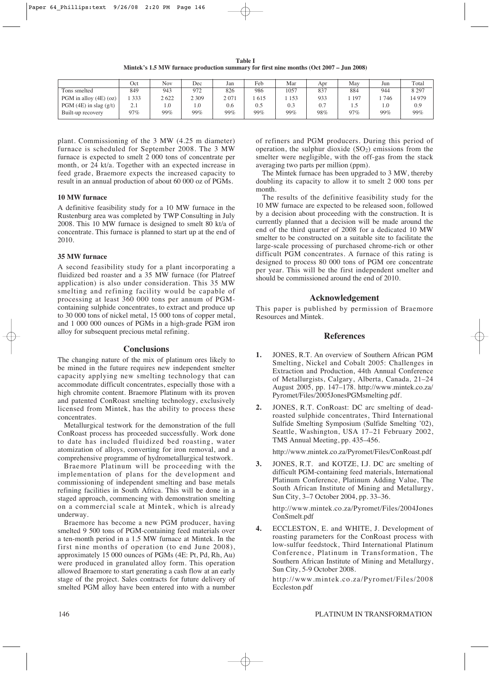**Table I Mintek's 1.5 MW furnace production summary for first nine months (Oct 2007 – Jun 2008)**

|                            | Oct        | <b>Nov</b> | Dec     | Jan  | Feb | Mar  | Apr | Mav | Jun | Total   |
|----------------------------|------------|------------|---------|------|-----|------|-----|-----|-----|---------|
| Tons smelted               | 849        | 943        | 972     | 826  | 986 | 1057 | 837 | 884 | 944 | 8 2 9 7 |
| PGM in alloy $(4E)$ (oz)   | 333        | 2622       | 2 3 0 9 | 2071 | 615 | 153  | 933 | 197 | 746 | 14 979  |
| PGM $(4E)$ in slag $(g/t)$ | $\sim$ . 1 | 1.0        | 1.0     | 0.6  | 0.5 | 0.3  | 0.7 | سم  | 1.0 | 0.9     |
| Built-up recovery          | 97%        | 99%        | 99%     | 99%  | 99% | 99%  | 98% | 97% | 99% | 99%     |

plant. Commissioning of the 3 MW (4.25 m diameter) furnace is scheduled for September 2008. The 3 MW furnace is expected to smelt 2 000 tons of concentrate per month, or 24 kt/a. Together with an expected increase in feed grade, Braemore expects the increased capacity to result in an annual production of about 60 000 oz of PGMs.

#### **10 MW furnace**

A definitive feasibility study for a 10 MW furnace in the Rustenburg area was completed by TWP Consulting in July 2008. This 10 MW furnace is designed to smelt 80 kt/a of concentrate. This furnace is planned to start up at the end of 2010.

#### **35 MW furnace**

A second feasibility study for a plant incorporating a fluidized bed roaster and a 35 MW furnace (for Platreef application) is also under consideration. This 35 MW smelting and refining facility would be capable of processing at least 360 000 tons per annum of PGMcontaining sulphide concentrates, to extract and produce up to 30 000 tons of nickel metal, 15 000 tons of copper metal, and 1 000 000 ounces of PGMs in a high-grade PGM iron alloy for subsequent precious metal refining.

#### **Conclusions**

The changing nature of the mix of platinum ores likely to be mined in the future requires new independent smelter capacity applying new smelting technology that can accommodate difficult concentrates, especially those with a high chromite content. Braemore Platinum with its proven and patented ConRoast smelting technology, exclusively licensed from Mintek, has the ability to process these concentrates.

Metallurgical testwork for the demonstration of the full ConRoast process has proceeded successfully. Work done to date has included fluidized bed roasting, water atomization of alloys, converting for iron removal, and a comprehensive programme of hydrometallurgical testwork.

Braemore Platinum will be proceeding with the implementation of plans for the development and commissioning of independent smelting and base metals refining facilities in South Africa. This will be done in a staged approach, commencing with demonstration smelting on a commercial scale at Mintek, which is already underway.

Braemore has become a new PGM producer, having smelted 9 500 tons of PGM-containing feed materials over a ten-month period in a 1.5 MW furnace at Mintek. In the first nine months of operation (to end June 2008), approximately 15 000 ounces of PGMs (4E: Pt, Pd, Rh, Au) were produced in granulated alloy form. This operation allowed Braemore to start generating a cash flow at an early stage of the project. Sales contracts for future delivery of smelted PGM alloy have been entered into with a number of refiners and PGM producers. During this period of operation, the sulphur dioxide  $(SO<sub>2</sub>)$  emissions from the smelter were negligible, with the off-gas from the stack averaging two parts per million (ppm).

The Mintek furnace has been upgraded to 3 MW, thereby doubling its capacity to allow it to smelt 2 000 tons per month.

The results of the definitive feasibility study for the 10 MW furnace are expected to be released soon, followed by a decision about proceeding with the construction. It is currently planned that a decision will be made around the end of the third quarter of 2008 for a dedicated 10 MW smelter to be constructed on a suitable site to facilitate the large-scale processing of purchased chrome-rich or other difficult PGM concentrates. A furnace of this rating is designed to process 80 000 tons of PGM ore concentrate per year. This will be the first independent smelter and should be commissioned around the end of 2010.

#### **Acknowledgement**

This paper is published by permission of Braemore Resources and Mintek.

## **References**

- **1.** JONES, R.T. An overview of Southern African PGM Smelting, Nickel and Cobalt 2005: Challenges in Extraction and Production, 44th Annual Conference of Metallurgists, Calgary, Alberta, Canada, 21–24 August 2005, pp. 147–178. http://www.mintek.co.za/ Pyromet/Files/2005JonesPGMsmelting.pdf.
- **2.** JONES, R.T. ConRoast: DC arc smelting of deadroasted sulphide concentrates, Third International Sulfide Smelting Symposium (Sulfide Smelting '02), Seattle, Washington, USA 17–21 February 2002, TMS Annual Meeting, pp. 435–456.

http://www.mintek.co.za/Pyromet/Files/ConRoast.pdf

**3.** JONES, R.T. and KOTZE, I.J. DC arc smelting of difficult PGM-containing feed materials, International Platinum Conference, Platinum Adding Value, The South African Institute of Mining and Metallurgy, Sun City, 3–7 October 2004, pp. 33–36.

http://www.mintek.co.za/Pyromet/Files/2004Jones ConSmelt.pdf

**4.** ECCLESTON, E. and WHITE, J. Development of roasting parameters for the ConRoast process with low-sulfur feedstock, Third International Platinum Conference, Platinum in Transformation, The Southern African Institute of Mining and Metallurgy, Sun City, 5-9 October 2008.

http://www.mintek.co.za/Pyromet/Files/2008 Eccleston.pdf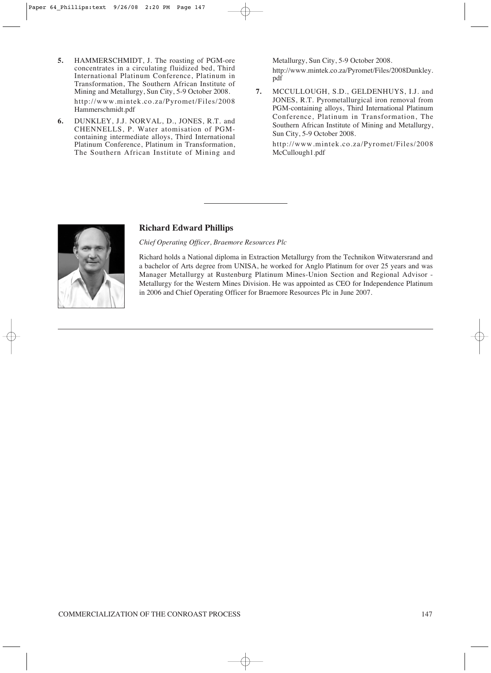- **5.** HAMMERSCHMIDT, J. The roasting of PGM-ore concentrates in a circulating fluidized bed, Third International Platinum Conference, Platinum in Transformation, The Southern African Institute of Mining and Metallurgy, Sun City, 5-9 October 2008. http://www.mintek.co.za/Pyromet/Files/2008 Hammerschmidt.pdf
- **6.** DUNKLEY, J.J. NORVAL, D., JONES, R.T. and CHENNELLS, P. Water atomisation of PGMcontaining intermediate alloys, Third International Platinum Conference, Platinum in Transformation, The Southern African Institute of Mining and

Metallurgy, Sun City, 5-9 October 2008. http://www.mintek.co.za/Pyromet/Files/2008Dunkley. pdf

**7.** MCCULLOUGH, S.D., GELDENHUYS, I.J. and JONES, R.T. Pyrometallurgical iron removal from PGM-containing alloys, Third International Platinum Conference, Platinum in Transformation, The Southern African Institute of Mining and Metallurgy, Sun City, 5-9 October 2008.

http://www.mintek.co.za/Pyromet/Files/2008 McCullough1.pdf



## **Richard Edward Phillips**

*Chief Operating Officer, Braemore Resources Plc*

Richard holds a National diploma in Extraction Metallurgy from the Technikon Witwatersrand and a bachelor of Arts degree from UNISA, he worked for Anglo Platinum for over 25 years and was Manager Metallurgy at Rustenburg Platinum Mines-Union Section and Regional Advisor - Metallurgy for the Western Mines Division. He was appointed as CEO for Independence Platinum in 2006 and Chief Operating Officer for Braemore Resources Plc in June 2007.